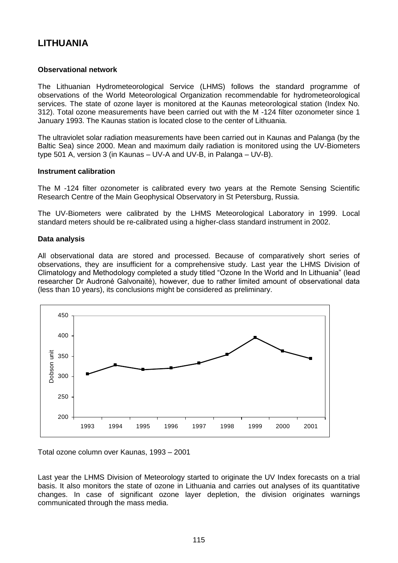# **LITHUANIA**

## **Observational network**

The Lithuanian Hydrometeorological Service (LHMS) follows the standard programme of observations of the World Meteorological Organization recommendable for hydrometeorological services. The state of ozone layer is monitored at the Kaunas meteorological station (Index No. 312). Total ozone measurements have been carried out with the M -124 filter ozonometer since 1 January 1993. The Kaunas station is located close to the center of Lithuania.

The ultraviolet solar radiation measurements have been carried out in Kaunas and Palanga (by the Baltic Sea) since 2000. Mean and maximum daily radiation is monitored using the UV-Biometers type 501 A, version 3 (in Kaunas – UV-A and UV-B, in Palanga – UV-B).

## **Instrument calibration**

The M -124 filter ozonometer is calibrated every two years at the Remote Sensing Scientific Research Centre of the Main Geophysical Observatory in St Petersburg, Russia.

The UV-Biometers were calibrated by the LHMS Meteorological Laboratory in 1999. Local standard meters should be re-calibrated using a higher-class standard instrument in 2002.

## **Data analysis**

All observational data are stored and processed. Because of comparatively short series of observations, they are insufficient for a comprehensive study. Last year the LHMS Division of Climatology and Methodology completed a study titled "Ozone In the World and In Lithuania" (lead researcher Dr Audronė Galvonaitė), however, due to rather limited amount of observational data (less than 10 years), its conclusions might be considered as preliminary.



Total ozone column over Kaunas, 1993 – 2001

Last year the LHMS Division of Meteorology started to originate the UV Index forecasts on a trial basis. It also monitors the state of ozone in Lithuania and carries out analyses of its quantitative changes. In case of significant ozone layer depletion, the division originates warnings communicated through the mass media.